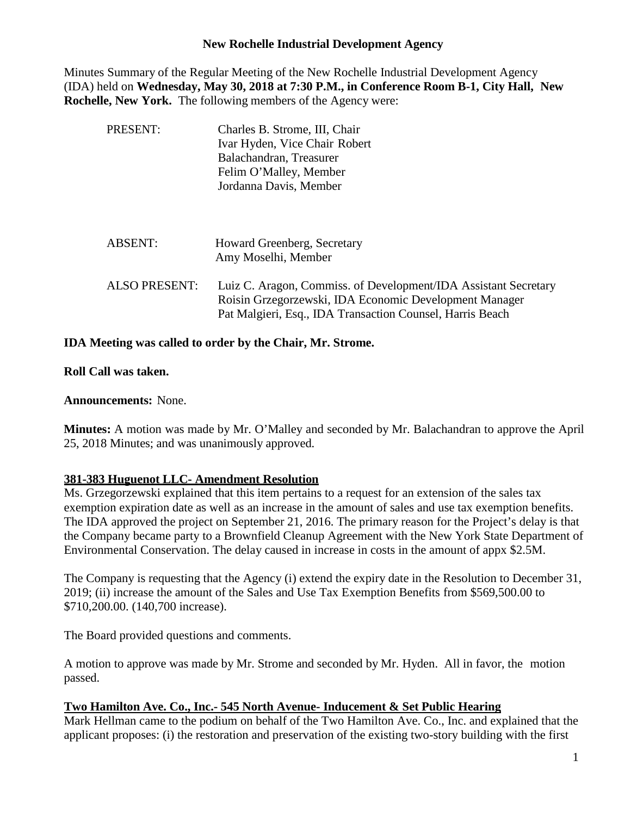### **New Rochelle Industrial Development Agency**

Minutes Summary of the Regular Meeting of the New Rochelle Industrial Development Agency (IDA) held on **Wednesday, May 30, 2018 at 7:30 P.M., in Conference Room B-1, City Hall, New Rochelle, New York.** The following members of the Agency were:

| PRESENT:             | Charles B. Strome, III, Chair<br>Ivar Hyden, Vice Chair Robert<br>Balachandran, Treasurer<br>Felim O'Malley, Member<br>Jordanna Davis, Member                                          |
|----------------------|----------------------------------------------------------------------------------------------------------------------------------------------------------------------------------------|
| <b>ABSENT:</b>       | Howard Greenberg, Secretary<br>Amy Moselhi, Member                                                                                                                                     |
| <b>ALSO PRESENT:</b> | Luiz C. Aragon, Commiss. of Development/IDA Assistant Secretary<br>Roisin Grzegorzewski, IDA Economic Development Manager<br>Pat Malgieri, Esq., IDA Transaction Counsel, Harris Beach |

## **IDA Meeting was called to order by the Chair, Mr. Strome.**

#### **Roll Call was taken.**

## **Announcements:** None.

**Minutes:** A motion was made by Mr. O'Malley and seconded by Mr. Balachandran to approve the April 25, 2018 Minutes; and was unanimously approved.

# **381-383 Huguenot LLC- Amendment Resolution**

Ms. Grzegorzewski explained that this item pertains to a request for an extension of the sales tax exemption expiration date as well as an increase in the amount of sales and use tax exemption benefits. The IDA approved the project on September 21, 2016. The primary reason for the Project's delay is that the Company became party to a Brownfield Cleanup Agreement with the New York State Department of Environmental Conservation. The delay caused in increase in costs in the amount of appx \$2.5M.

The Company is requesting that the Agency (i) extend the expiry date in the Resolution to December 31, 2019; (ii) increase the amount of the Sales and Use Tax Exemption Benefits from \$569,500.00 to \$710,200.00. (140,700 increase).

The Board provided questions and comments.

A motion to approve was made by Mr. Strome and seconded by Mr. Hyden. All in favor, the motion passed.

# **Two Hamilton Ave. Co., Inc.- 545 North Avenue- Inducement & Set Public Hearing**

Mark Hellman came to the podium on behalf of the Two Hamilton Ave. Co., Inc. and explained that the applicant proposes: (i) the restoration and preservation of the existing two-story building with the first